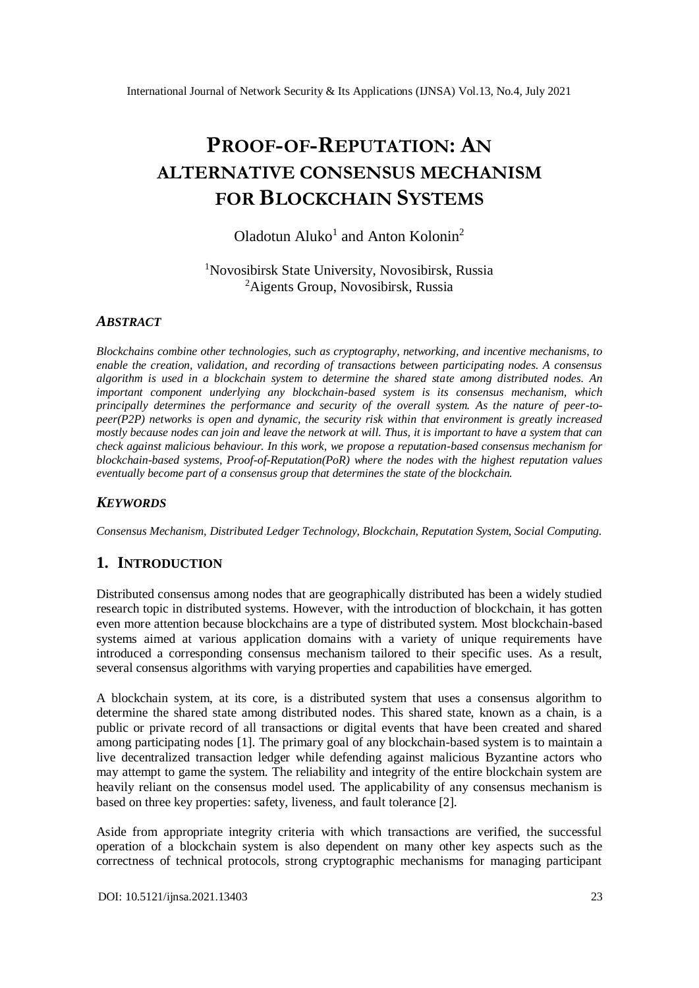# **PROOF-OF-REPUTATION: AN ALTERNATIVE CONSENSUS MECHANISM FOR BLOCKCHAIN SYSTEMS**

# Oladotun Aluko<sup>1</sup> and Anton Kolonin<sup>2</sup>

<sup>1</sup>Novosibirsk State University, Novosibirsk, Russia <sup>2</sup> Aigents Group, Novosibirsk, Russia

### *ABSTRACT*

*Blockchains combine other technologies, such as cryptography, networking, and incentive mechanisms, to enable the creation, validation, and recording of transactions between participating nodes. A consensus algorithm is used in a blockchain system to determine the shared state among distributed nodes. An important component underlying any blockchain-based system is its consensus mechanism, which principally determines the performance and security of the overall system. As the nature of peer-topeer(P2P) networks is open and dynamic, the security risk within that environment is greatly increased mostly because nodes can join and leave the network at will. Thus, it is important to have a system that can check against malicious behaviour. In this work, we propose a reputation-based consensus mechanism for blockchain-based systems, Proof-of-Reputation(PoR) where the nodes with the highest reputation values eventually become part of a consensus group that determines the state of the blockchain.*

# *KEYWORDS*

*Consensus Mechanism, Distributed Ledger Technology, Blockchain, Reputation System, Social Computing.*

# **1. INTRODUCTION**

Distributed consensus among nodes that are geographically distributed has been a widely studied research topic in distributed systems. However, with the introduction of blockchain, it has gotten even more attention because blockchains are a type of distributed system. Most blockchain-based systems aimed at various application domains with a variety of unique requirements have introduced a corresponding consensus mechanism tailored to their specific uses. As a result, several consensus algorithms with varying properties and capabilities have emerged.

A blockchain system, at its core, is a distributed system that uses a consensus algorithm to determine the shared state among distributed nodes. This shared state, known as a chain, is a public or private record of all transactions or digital events that have been created and shared among participating nodes [1]. The primary goal of any blockchain-based system is to maintain a live decentralized transaction ledger while defending against malicious Byzantine actors who may attempt to game the system. The reliability and integrity of the entire blockchain system are heavily reliant on the consensus model used. The applicability of any consensus mechanism is based on three key properties: safety, liveness, and fault tolerance [2].

Aside from appropriate integrity criteria with which transactions are verified, the successful operation of a blockchain system is also dependent on many other key aspects such as the correctness of technical protocols, strong cryptographic mechanisms for managing participant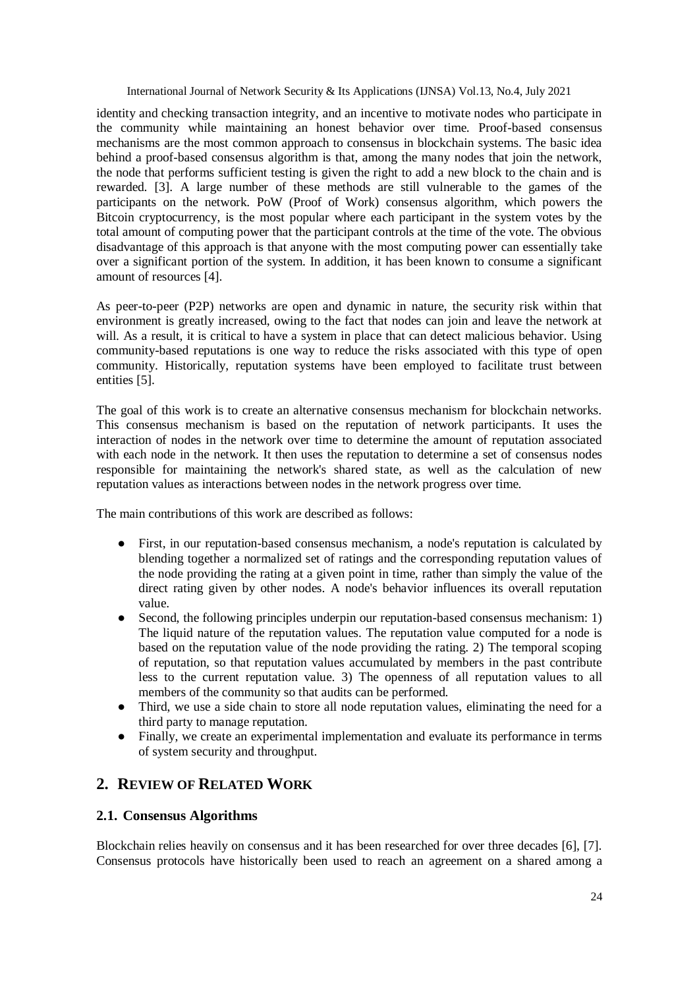identity and checking transaction integrity, and an incentive to motivate nodes who participate in the community while maintaining an honest behavior over time. Proof-based consensus mechanisms are the most common approach to consensus in blockchain systems. The basic idea behind a proof-based consensus algorithm is that, among the many nodes that join the network, the node that performs sufficient testing is given the right to add a new block to the chain and is rewarded. [3]. A large number of these methods are still vulnerable to the games of the participants on the network. PoW (Proof of Work) consensus algorithm, which powers the Bitcoin cryptocurrency, is the most popular where each participant in the system votes by the total amount of computing power that the participant controls at the time of the vote. The obvious disadvantage of this approach is that anyone with the most computing power can essentially take over a significant portion of the system. In addition, it has been known to consume a significant amount of resources [4].

As peer-to-peer (P2P) networks are open and dynamic in nature, the security risk within that environment is greatly increased, owing to the fact that nodes can join and leave the network at will. As a result, it is critical to have a system in place that can detect malicious behavior. Using community-based reputations is one way to reduce the risks associated with this type of open community. Historically, reputation systems have been employed to facilitate trust between entities [5].

The goal of this work is to create an alternative consensus mechanism for blockchain networks. This consensus mechanism is based on the reputation of network participants. It uses the interaction of nodes in the network over time to determine the amount of reputation associated with each node in the network. It then uses the reputation to determine a set of consensus nodes responsible for maintaining the network's shared state, as well as the calculation of new reputation values as interactions between nodes in the network progress over time.

The main contributions of this work are described as follows:

- First, in our reputation-based consensus mechanism, a node's reputation is calculated by blending together a normalized set of ratings and the corresponding reputation values of the node providing the rating at a given point in time, rather than simply the value of the direct rating given by other nodes. A node's behavior influences its overall reputation value.
- Second, the following principles underpin our reputation-based consensus mechanism: 1) The liquid nature of the reputation values. The reputation value computed for a node is based on the reputation value of the node providing the rating. 2) The temporal scoping of reputation, so that reputation values accumulated by members in the past contribute less to the current reputation value. 3) The openness of all reputation values to all members of the community so that audits can be performed.
- Third, we use a side chain to store all node reputation values, eliminating the need for a third party to manage reputation.
- Finally, we create an experimental implementation and evaluate its performance in terms of system security and throughput.

# **2. REVIEW OF RELATED WORK**

### **2.1. Consensus Algorithms**

Blockchain relies heavily on consensus and it has been researched for over three decades [6], [7]. Consensus protocols have historically been used to reach an agreement on a shared among a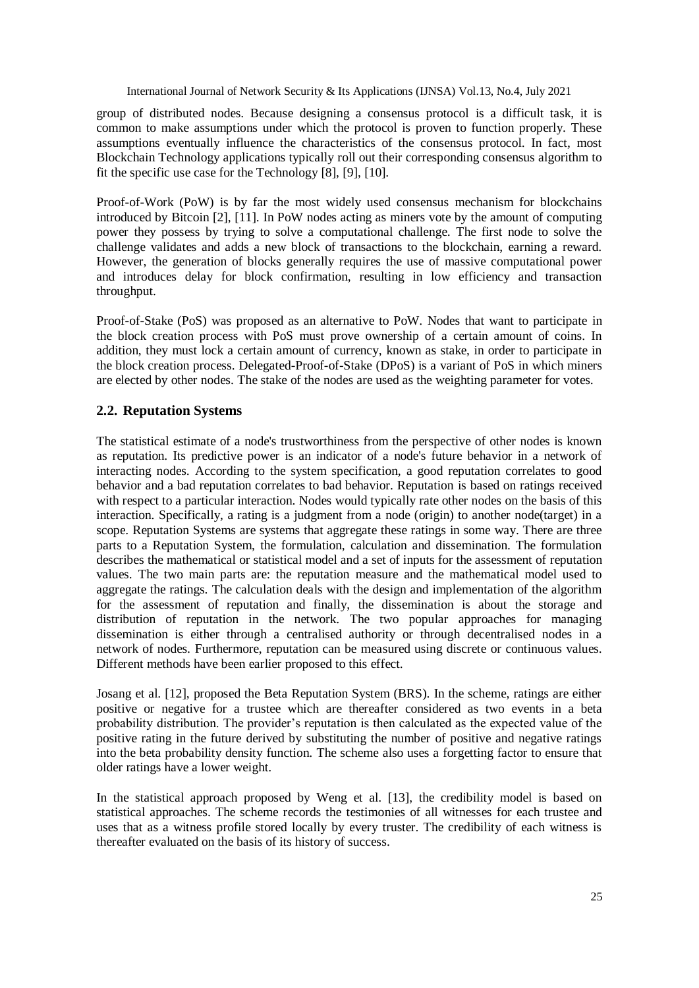group of distributed nodes. Because designing a consensus protocol is a difficult task, it is common to make assumptions under which the protocol is proven to function properly. These assumptions eventually influence the characteristics of the consensus protocol. In fact, most Blockchain Technology applications typically roll out their corresponding consensus algorithm to fit the specific use case for the Technology [8], [9], [10].

Proof-of-Work (PoW) is by far the most widely used consensus mechanism for blockchains introduced by Bitcoin [2], [11]. In PoW nodes acting as miners vote by the amount of computing power they possess by trying to solve a computational challenge. The first node to solve the challenge validates and adds a new block of transactions to the blockchain, earning a reward. However, the generation of blocks generally requires the use of massive computational power and introduces delay for block confirmation, resulting in low efficiency and transaction throughput.

Proof-of-Stake (PoS) was proposed as an alternative to PoW. Nodes that want to participate in the block creation process with PoS must prove ownership of a certain amount of coins. In addition, they must lock a certain amount of currency, known as stake, in order to participate in the block creation process. Delegated-Proof-of-Stake (DPoS) is a variant of PoS in which miners are elected by other nodes. The stake of the nodes are used as the weighting parameter for votes.

# **2.2. Reputation Systems**

The statistical estimate of a node's trustworthiness from the perspective of other nodes is known as reputation. Its predictive power is an indicator of a node's future behavior in a network of interacting nodes. According to the system specification, a good reputation correlates to good behavior and a bad reputation correlates to bad behavior. Reputation is based on ratings received with respect to a particular interaction. Nodes would typically rate other nodes on the basis of this interaction. Specifically, a rating is a judgment from a node (origin) to another node(target) in a scope. Reputation Systems are systems that aggregate these ratings in some way. There are three parts to a Reputation System, the formulation, calculation and dissemination. The formulation describes the mathematical or statistical model and a set of inputs for the assessment of reputation values. The two main parts are: the reputation measure and the mathematical model used to aggregate the ratings. The calculation deals with the design and implementation of the algorithm for the assessment of reputation and finally, the dissemination is about the storage and distribution of reputation in the network. The two popular approaches for managing dissemination is either through a centralised authority or through decentralised nodes in a network of nodes. Furthermore, reputation can be measured using discrete or continuous values. Different methods have been earlier proposed to this effect.

Josang et al. [12], proposed the Beta Reputation System (BRS). In the scheme, ratings are either positive or negative for a trustee which are thereafter considered as two events in a beta probability distribution. The provider's reputation is then calculated as the expected value of the positive rating in the future derived by substituting the number of positive and negative ratings into the beta probability density function. The scheme also uses a forgetting factor to ensure that older ratings have a lower weight.

In the statistical approach proposed by Weng et al. [13], the credibility model is based on statistical approaches. The scheme records the testimonies of all witnesses for each trustee and uses that as a witness profile stored locally by every truster. The credibility of each witness is thereafter evaluated on the basis of its history of success.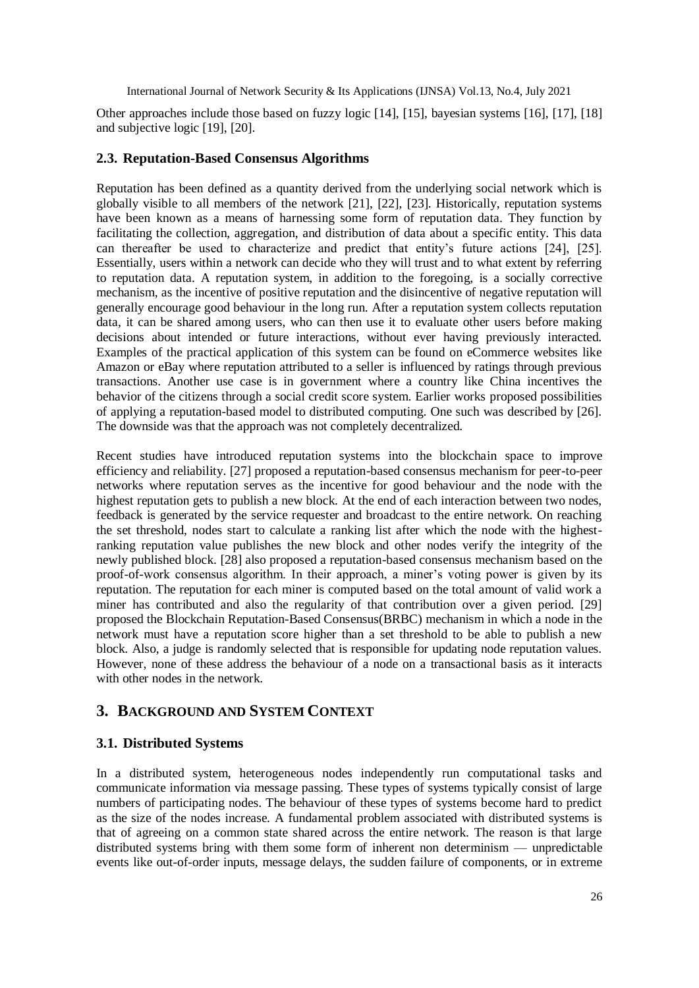Other approaches include those based on fuzzy logic [14], [15], bayesian systems [16], [17], [18] and subjective logic [19], [20].

### **2.3. Reputation-Based Consensus Algorithms**

Reputation has been defined as a quantity derived from the underlying social network which is globally visible to all members of the network [21], [22], [23]. Historically, reputation systems have been known as a means of harnessing some form of reputation data. They function by facilitating the collection, aggregation, and distribution of data about a specific entity. This data can thereafter be used to characterize and predict that entity's future actions [24], [25]. Essentially, users within a network can decide who they will trust and to what extent by referring to reputation data. A reputation system, in addition to the foregoing, is a socially corrective mechanism, as the incentive of positive reputation and the disincentive of negative reputation will generally encourage good behaviour in the long run. After a reputation system collects reputation data, it can be shared among users, who can then use it to evaluate other users before making decisions about intended or future interactions, without ever having previously interacted. Examples of the practical application of this system can be found on eCommerce websites like Amazon or eBay where reputation attributed to a seller is influenced by ratings through previous transactions. Another use case is in government where a country like China incentives the behavior of the citizens through a social credit score system. Earlier works proposed possibilities of applying a reputation-based model to distributed computing. One such was described by [26]. The downside was that the approach was not completely decentralized.

Recent studies have introduced reputation systems into the blockchain space to improve efficiency and reliability. [27] proposed a reputation-based consensus mechanism for peer-to-peer networks where reputation serves as the incentive for good behaviour and the node with the highest reputation gets to publish a new block. At the end of each interaction between two nodes, feedback is generated by the service requester and broadcast to the entire network. On reaching the set threshold, nodes start to calculate a ranking list after which the node with the highestranking reputation value publishes the new block and other nodes verify the integrity of the newly published block. [28] also proposed a reputation-based consensus mechanism based on the proof-of-work consensus algorithm. In their approach, a miner's voting power is given by its reputation. The reputation for each miner is computed based on the total amount of valid work a miner has contributed and also the regularity of that contribution over a given period. [29] proposed the Blockchain Reputation-Based Consensus(BRBC) mechanism in which a node in the network must have a reputation score higher than a set threshold to be able to publish a new block. Also, a judge is randomly selected that is responsible for updating node reputation values. However, none of these address the behaviour of a node on a transactional basis as it interacts with other nodes in the network.

# **3. BACKGROUND AND SYSTEM CONTEXT**

### **3.1. Distributed Systems**

In a distributed system, heterogeneous nodes independently run computational tasks and communicate information via message passing. These types of systems typically consist of large numbers of participating nodes. The behaviour of these types of systems become hard to predict as the size of the nodes increase. A fundamental problem associated with distributed systems is that of agreeing on a common state shared across the entire network. The reason is that large distributed systems bring with them some form of inherent non determinism — unpredictable events like out-of-order inputs, message delays, the sudden failure of components, or in extreme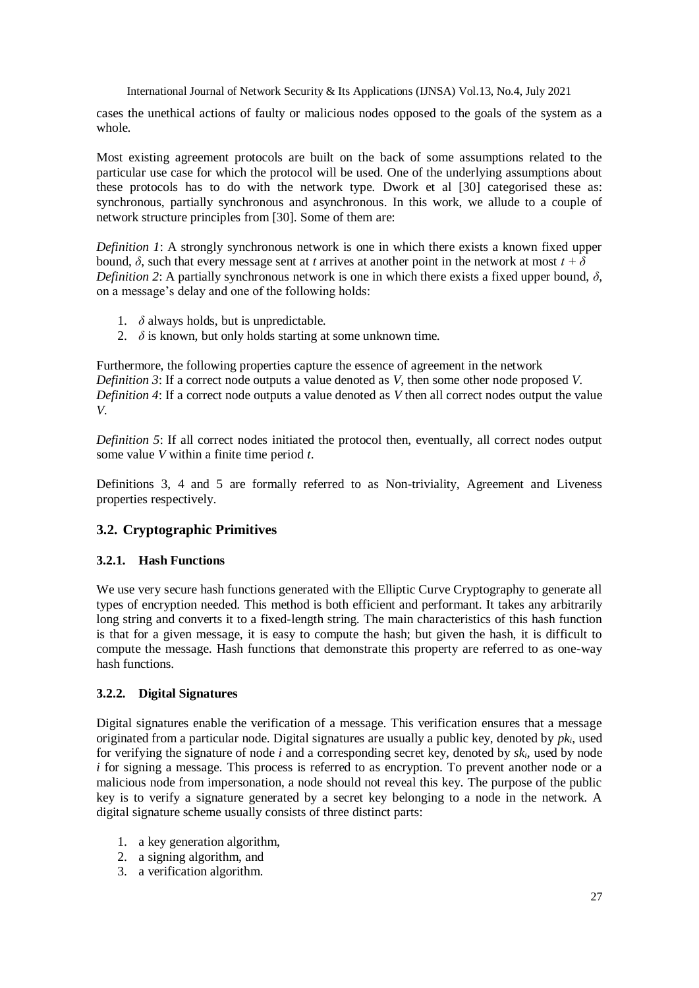cases the unethical actions of faulty or malicious nodes opposed to the goals of the system as a whole.

Most existing agreement protocols are built on the back of some assumptions related to the particular use case for which the protocol will be used. One of the underlying assumptions about these protocols has to do with the network type. Dwork et al [30] categorised these as: synchronous, partially synchronous and asynchronous. In this work, we allude to a couple of network structure principles from [30]. Some of them are:

*Definition 1*: A strongly synchronous network is one in which there exists a known fixed upper bound,  $\delta$ , such that every message sent at *t* arrives at another point in the network at most *t* + δ *Definition 2*: A partially synchronous network is one in which there exists a fixed upper bound, *δ*, on a message's delay and one of the following holds:

- 1. *δ* always holds, but is unpredictable.
- 2.  $\delta$  is known, but only holds starting at some unknown time.

Furthermore, the following properties capture the essence of agreement in the network *Definition 3*: If a correct node outputs a value denoted as *V*, then some other node proposed *V*. *Definition 4*: If a correct node outputs a value denoted as *V* then all correct nodes output the value *V*.

*Definition 5*: If all correct nodes initiated the protocol then, eventually, all correct nodes output some value *V* within a finite time period *t*.

Definitions 3, 4 and 5 are formally referred to as Non-triviality, Agreement and Liveness properties respectively.

# **3.2. Cryptographic Primitives**

### **3.2.1. Hash Functions**

We use very secure hash functions generated with the Elliptic Curve Cryptography to generate all types of encryption needed. This method is both efficient and performant. It takes any arbitrarily long string and converts it to a fixed-length string. The main characteristics of this hash function is that for a given message, it is easy to compute the hash; but given the hash, it is difficult to compute the message. Hash functions that demonstrate this property are referred to as one-way hash functions.

### **3.2.2. Digital Signatures**

Digital signatures enable the verification of a message. This verification ensures that a message originated from a particular node. Digital signatures are usually a public key, denoted by *pki*, used for verifying the signature of node *i* and a corresponding secret key, denoted by *ski*, used by node *i* for signing a message. This process is referred to as encryption. To prevent another node or a malicious node from impersonation, a node should not reveal this key. The purpose of the public key is to verify a signature generated by a secret key belonging to a node in the network. A digital signature scheme usually consists of three distinct parts:

- 1. a key generation algorithm,
- 2. a signing algorithm, and
- 3. a verification algorithm.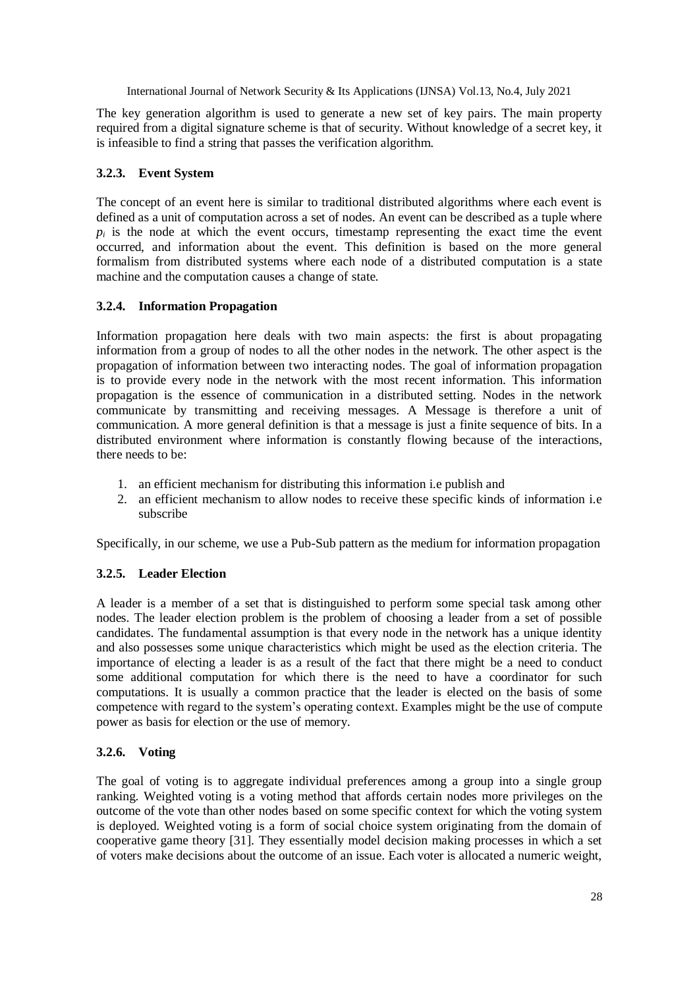The key generation algorithm is used to generate a new set of key pairs. The main property required from a digital signature scheme is that of security. Without knowledge of a secret key, it is infeasible to find a string that passes the verification algorithm.

### **3.2.3. Event System**

The concept of an event here is similar to traditional distributed algorithms where each event is defined as a unit of computation across a set of nodes. An event can be described as a tuple where  $p_i$  is the node at which the event occurs, timestamp representing the exact time the event occurred, and information about the event. This definition is based on the more general formalism from distributed systems where each node of a distributed computation is a state machine and the computation causes a change of state.

### **3.2.4. Information Propagation**

Information propagation here deals with two main aspects: the first is about propagating information from a group of nodes to all the other nodes in the network. The other aspect is the propagation of information between two interacting nodes. The goal of information propagation is to provide every node in the network with the most recent information. This information propagation is the essence of communication in a distributed setting. Nodes in the network communicate by transmitting and receiving messages. A Message is therefore a unit of communication. A more general definition is that a message is just a finite sequence of bits. In a distributed environment where information is constantly flowing because of the interactions, there needs to be:

- 1. an efficient mechanism for distributing this information i.e publish and
- 2. an efficient mechanism to allow nodes to receive these specific kinds of information i.e subscribe

Specifically, in our scheme, we use a Pub-Sub pattern as the medium for information propagation

# **3.2.5. Leader Election**

A leader is a member of a set that is distinguished to perform some special task among other nodes. The leader election problem is the problem of choosing a leader from a set of possible candidates. The fundamental assumption is that every node in the network has a unique identity and also possesses some unique characteristics which might be used as the election criteria. The importance of electing a leader is as a result of the fact that there might be a need to conduct some additional computation for which there is the need to have a coordinator for such computations. It is usually a common practice that the leader is elected on the basis of some competence with regard to the system's operating context. Examples might be the use of compute power as basis for election or the use of memory.

### **3.2.6. Voting**

The goal of voting is to aggregate individual preferences among a group into a single group ranking. Weighted voting is a voting method that affords certain nodes more privileges on the outcome of the vote than other nodes based on some specific context for which the voting system is deployed. Weighted voting is a form of social choice system originating from the domain of cooperative game theory [31]. They essentially model decision making processes in which a set of voters make decisions about the outcome of an issue. Each voter is allocated a numeric weight,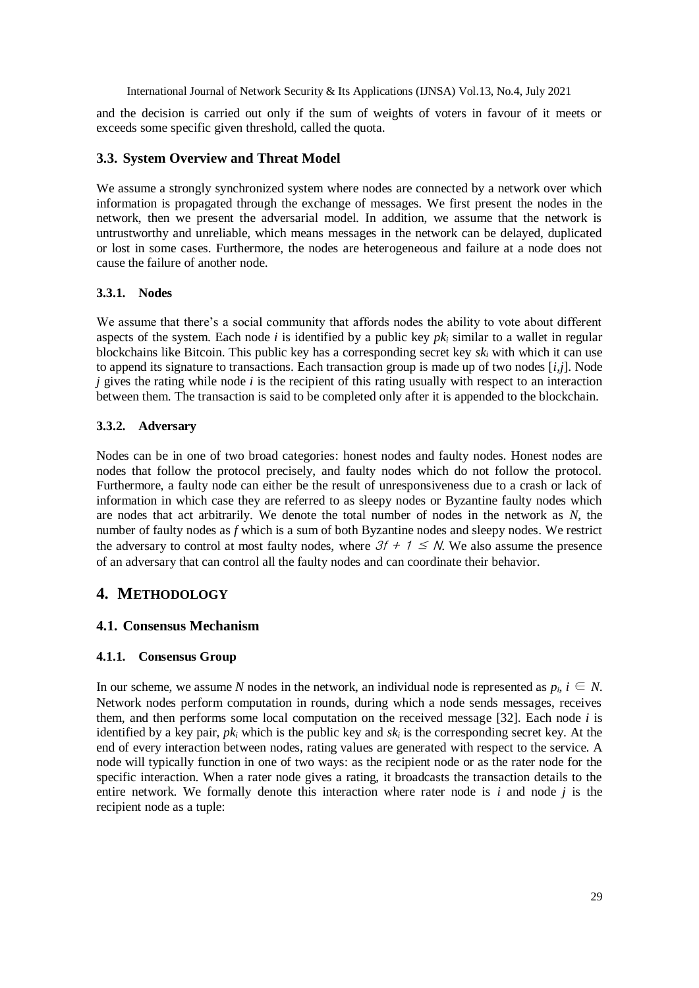and the decision is carried out only if the sum of weights of voters in favour of it meets or exceeds some specific given threshold, called the quota.

# **3.3. System Overview and Threat Model**

We assume a strongly synchronized system where nodes are connected by a network over which information is propagated through the exchange of messages. We first present the nodes in the network, then we present the adversarial model. In addition, we assume that the network is untrustworthy and unreliable, which means messages in the network can be delayed, duplicated or lost in some cases. Furthermore, the nodes are heterogeneous and failure at a node does not cause the failure of another node.

# **3.3.1. Nodes**

We assume that there's a social community that affords nodes the ability to vote about different aspects of the system. Each node *i* is identified by a public key *pk<sup>i</sup>* similar to a wallet in regular blockchains like Bitcoin. This public key has a corresponding secret key *sk<sup>i</sup>* with which it can use to append its signature to transactions. Each transaction group is made up of two nodes [*i,j*]. Node *j* gives the rating while node *i* is the recipient of this rating usually with respect to an interaction between them. The transaction is said to be completed only after it is appended to the blockchain.

# **3.3.2. Adversary**

Nodes can be in one of two broad categories: honest nodes and faulty nodes. Honest nodes are nodes that follow the protocol precisely, and faulty nodes which do not follow the protocol. Furthermore, a faulty node can either be the result of unresponsiveness due to a crash or lack of information in which case they are referred to as sleepy nodes or Byzantine faulty nodes which are nodes that act arbitrarily. We denote the total number of nodes in the network as *N*, the number of faulty nodes as *f* which is a sum of both Byzantine nodes and sleepy nodes. We restrict the adversary to control at most faulty nodes, where  $3f + 1 \leq N$ . We also assume the presence of an adversary that can control all the faulty nodes and can coordinate their behavior.

# **4. METHODOLOGY**

# **4.1. Consensus Mechanism**

# **4.1.1. Consensus Group**

In our scheme, we assume *N* nodes in the network, an individual node is represented as  $p_i$ ,  $i \in N$ . Network nodes perform computation in rounds, during which a node sends messages, receives them, and then performs some local computation on the received message [32]. Each node *i* is identified by a key pair, *pk<sup>i</sup>* which is the public key and *sk<sup>i</sup>* is the corresponding secret key. At the end of every interaction between nodes, rating values are generated with respect to the service. A node will typically function in one of two ways: as the recipient node or as the rater node for the specific interaction. When a rater node gives a rating, it broadcasts the transaction details to the entire network. We formally denote this interaction where rater node is *i* and node *j* is the recipient node as a tuple: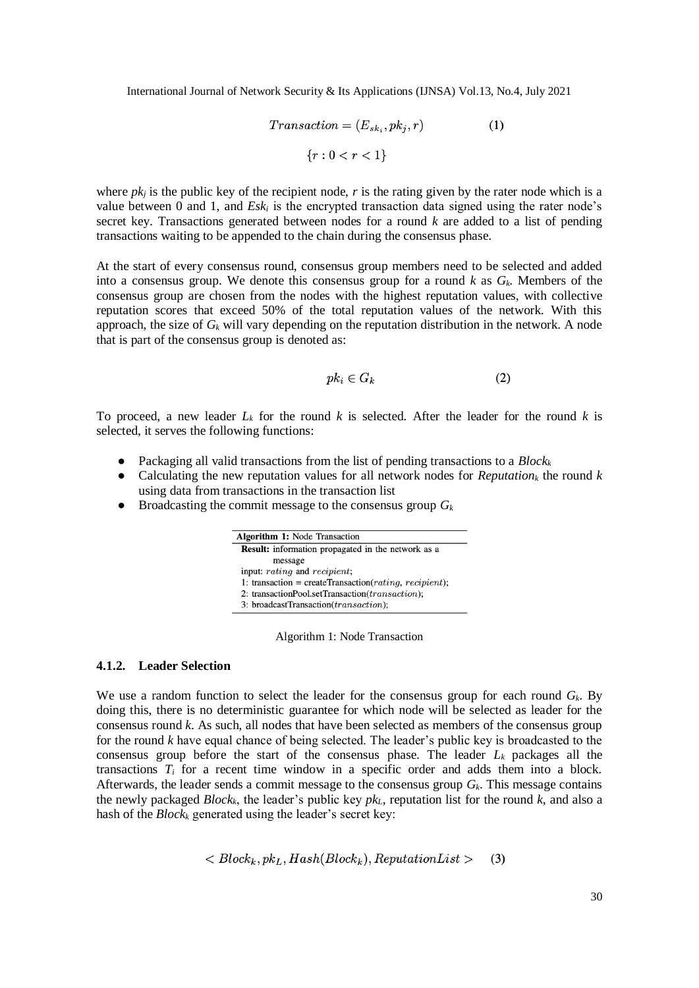$$
Transaction = (E_{sk_i}, pk_j, r)
$$
\n
$$
\{r : 0 < r < 1\}
$$
\n
$$
(1)
$$

where  $pk_j$  is the public key of the recipient node,  $r$  is the rating given by the rater node which is a value between 0 and 1, and  $E s k_i$  is the encrypted transaction data signed using the rater node's secret key. Transactions generated between nodes for a round *k* are added to a list of pending transactions waiting to be appended to the chain during the consensus phase.

At the start of every consensus round, consensus group members need to be selected and added into a consensus group. We denote this consensus group for a round *k* as *Gk*. Members of the consensus group are chosen from the nodes with the highest reputation values, with collective reputation scores that exceed 50% of the total reputation values of the network. With this approach, the size of *G<sup>k</sup>* will vary depending on the reputation distribution in the network. A node that is part of the consensus group is denoted as:

$$
pk_i \in G_k \tag{2}
$$

To proceed, a new leader  $L_k$  for the round  $k$  is selected. After the leader for the round  $k$  is selected, it serves the following functions:

- Packaging all valid transactions from the list of pending transactions to a *Block<sup>k</sup>*
- Calculating the new reputation values for all network nodes for *Reputation<sup>k</sup>* the round *k* using data from transactions in the transaction list
- $\bullet$  Broadcasting the commit message to the consensus group  $G_k$

| <b>Algorithm 1:</b> Node Transaction |                                                           |
|--------------------------------------|-----------------------------------------------------------|
|                                      | <b>Result:</b> information propagated in the network as a |
| message                              |                                                           |
| input: rating and recipient;         |                                                           |
|                                      | 1: transaction = createTransaction( $rating, recipient);$ |
|                                      | 2: transactionPool.setTransaction(transaction);           |
|                                      | 3: broadcastTransaction(transaction);                     |

Algorithm 1: Node Transaction

#### **4.1.2. Leader Selection**

We use a random function to select the leader for the consensus group for each round *Gk*. By doing this, there is no deterministic guarantee for which node will be selected as leader for the consensus round *k*. As such, all nodes that have been selected as members of the consensus group for the round *k* have equal chance of being selected. The leader's public key is broadcasted to the consensus group before the start of the consensus phase. The leader  $L_k$  packages all the transactions  $T_i$  for a recent time window in a specific order and adds them into a block. Afterwards, the leader sends a commit message to the consensus group *Gk*. This message contains the newly packaged *Blockk*, the leader's public key *pkL*, reputation list for the round *k*, and also a hash of the *Block<sup>k</sup>* generated using the leader's secret key:

$$
\langle Block_k, pk_L, Hash(Block_k), ReputationList \rangle \qquad (3)
$$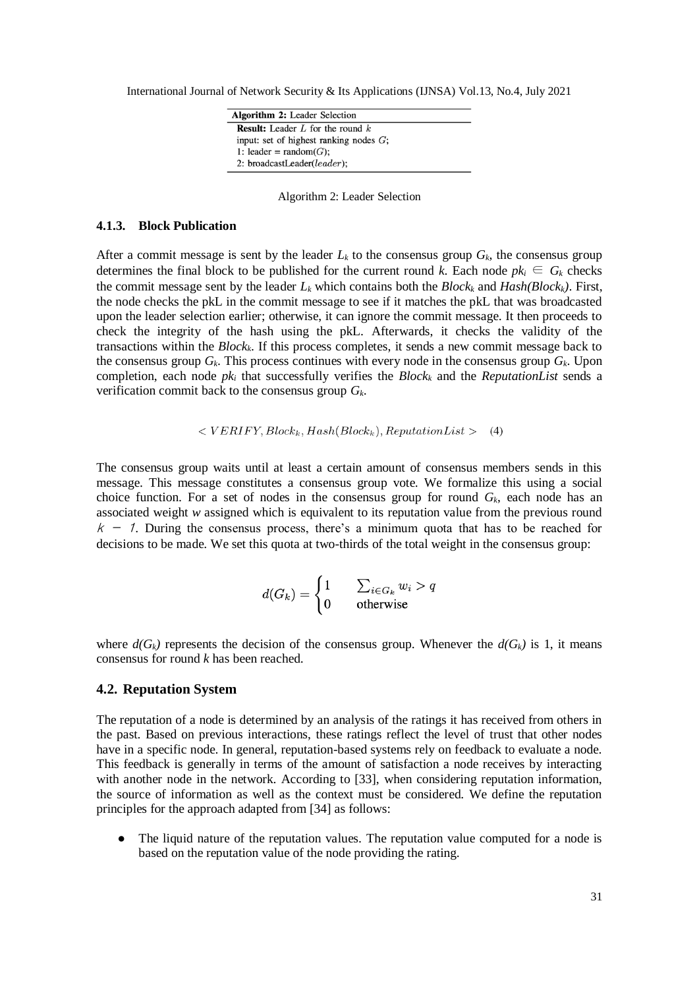| <b>Algorithm 2:</b> Leader Selection      |
|-------------------------------------------|
| <b>Result:</b> Leader L for the round $k$ |
| input: set of highest ranking nodes $G$ ; |
| 1: leader = random( $G$ );                |
| 2: broadcastLeader(leader);               |

Algorithm 2: Leader Selection

#### **4.1.3. Block Publication**

After a commit message is sent by the leader  $L_k$  to the consensus group  $G_k$ , the consensus group determines the final block to be published for the current round *k*. Each node  $pk_i \in G_k$  checks the commit message sent by the leader  $L_k$  which contains both the  $Block_k$  and  $Hash(Block_k)$ . First, the node checks the pkL in the commit message to see if it matches the pkL that was broadcasted upon the leader selection earlier; otherwise, it can ignore the commit message. It then proceeds to check the integrity of the hash using the pkL. Afterwards, it checks the validity of the transactions within the *Blockk*. If this process completes, it sends a new commit message back to the consensus group  $G_k$ . This process continues with every node in the consensus group  $G_k$ . Upon completion, each node *pk<sup>i</sup>* that successfully verifies the *Block<sup>k</sup>* and the *ReputationList* sends a verification commit back to the consensus group *Gk*.

$$
\langle VERIFY, Block_k, Hash(Block_k), ReputationList \rangle \tag{4}
$$

The consensus group waits until at least a certain amount of consensus members sends in this message. This message constitutes a consensus group vote. We formalize this using a social choice function. For a set of nodes in the consensus group for round  $G_k$ , each node has an associated weight *w* assigned which is equivalent to its reputation value from the previous round  $k - 1$ . During the consensus process, there's a minimum quota that has to be reached for decisions to be made. We set this quota at two-thirds of the total weight in the consensus group:

$$
d(G_k) = \begin{cases} 1 & \sum_{i \in G_k} w_i > q \\ 0 & \text{otherwise} \end{cases}
$$

where  $d(G_k)$  represents the decision of the consensus group. Whenever the  $d(G_k)$  is 1, it means consensus for round *k* has been reached.

### **4.2. Reputation System**

The reputation of a node is determined by an analysis of the ratings it has received from others in the past. Based on previous interactions, these ratings reflect the level of trust that other nodes have in a specific node. In general, reputation-based systems rely on feedback to evaluate a node. This feedback is generally in terms of the amount of satisfaction a node receives by interacting with another node in the network. According to [33], when considering reputation information, the source of information as well as the context must be considered. We define the reputation principles for the approach adapted from [34] as follows:

• The liquid nature of the reputation values. The reputation value computed for a node is based on the reputation value of the node providing the rating.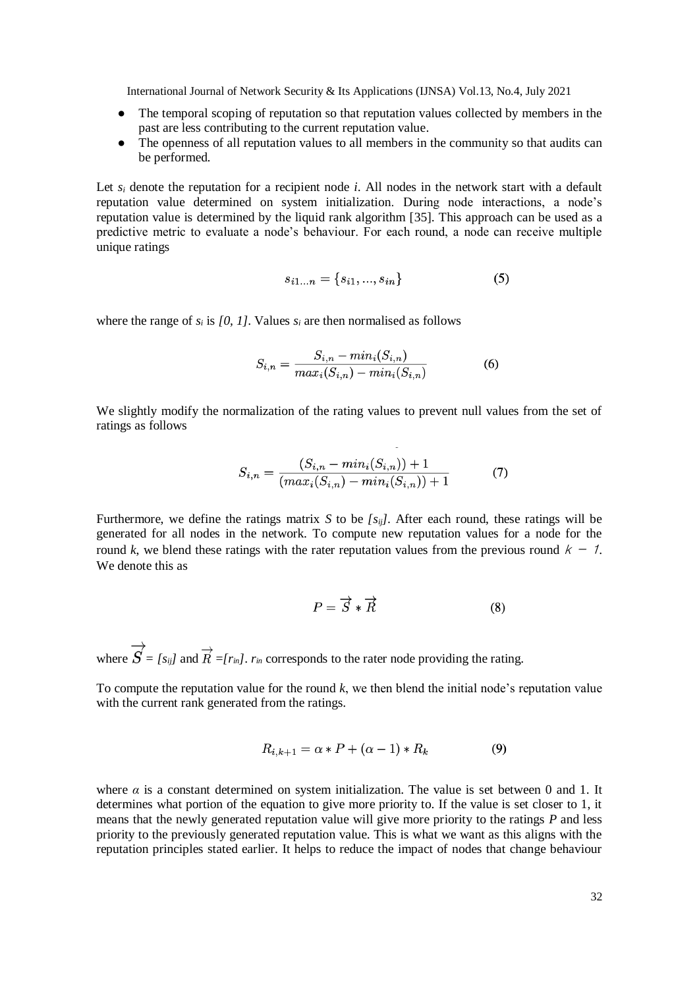- The temporal scoping of reputation so that reputation values collected by members in the past are less contributing to the current reputation value.
- The openness of all reputation values to all members in the community so that audits can be performed.

Let  $s_i$  denote the reputation for a recipient node *i*. All nodes in the network start with a default reputation value determined on system initialization. During node interactions, a node's reputation value is determined by the liquid rank algorithm [35]. This approach can be used as a predictive metric to evaluate a node's behaviour. For each round, a node can receive multiple unique ratings

$$
s_{i1...n} = \{s_{i1}, ..., s_{in}\}\tag{5}
$$

where the range of  $s_i$  is [0, 1]. Values  $s_i$  are then normalised as follows

$$
S_{i,n} = \frac{S_{i,n} - \min_i(S_{i,n})}{\max_i(S_{i,n}) - \min_i(S_{i,n})}
$$
(6)

We slightly modify the normalization of the rating values to prevent null values from the set of ratings as follows

$$
S_{i,n} = \frac{(S_{i,n} - \min_i(S_{i,n})) + 1}{(\max_i(S_{i,n}) - \min_i(S_{i,n})) + 1}
$$
(7)

 $\overline{\phantom{a}}$ 

Furthermore, we define the ratings matrix *S* to be *[sij]*. After each round, these ratings will be generated for all nodes in the network. To compute new reputation values for a node for the round *k*, we blend these ratings with the rater reputation values from the previous round  $k - 1$ . We denote this as

$$
P = \overrightarrow{S} * \overrightarrow{R} \tag{8}
$$

where  $\overrightarrow{S} = [s_{ij}]$  and  $\overrightarrow{R} = [r_{in}]$ .  $r_{in}$  corresponds to the rater node providing the rating.

To compute the reputation value for the round *k*, we then blend the initial node's reputation value with the current rank generated from the ratings.

$$
R_{i,k+1} = \alpha \ast P + (\alpha - 1) \ast R_k \tag{9}
$$

where  $\alpha$  is a constant determined on system initialization. The value is set between 0 and 1. It determines what portion of the equation to give more priority to. If the value is set closer to 1, it means that the newly generated reputation value will give more priority to the ratings *P* and less priority to the previously generated reputation value. This is what we want as this aligns with the reputation principles stated earlier. It helps to reduce the impact of nodes that change behaviour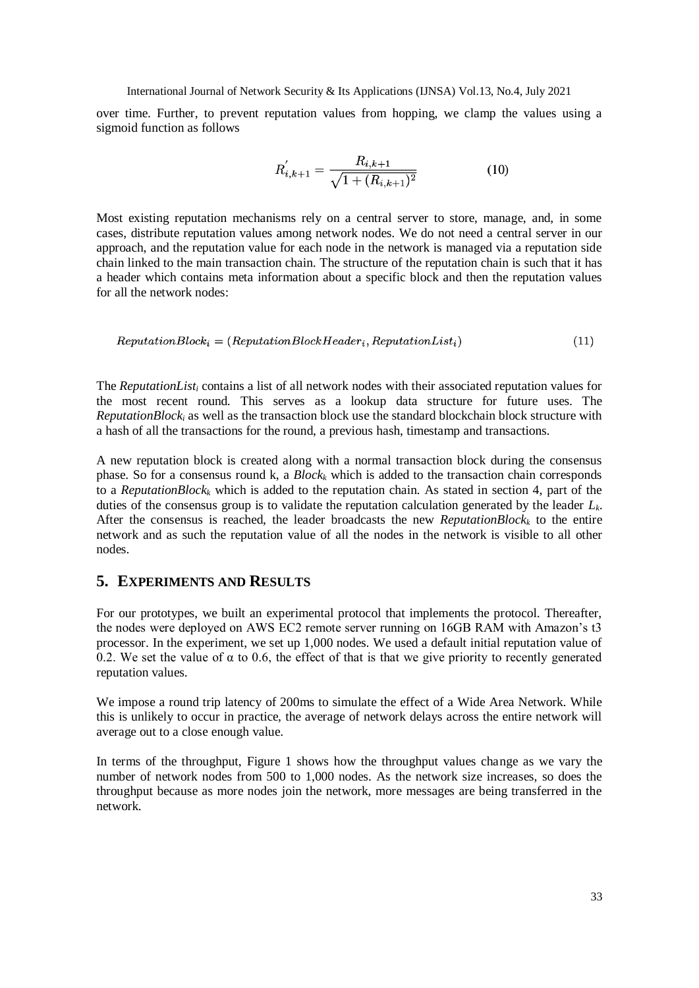over time. Further, to prevent reputation values from hopping, we clamp the values using a sigmoid function as follows

$$
R'_{i,k+1} = \frac{R_{i,k+1}}{\sqrt{1 + (R_{i,k+1})^2}}
$$
(10)

Most existing reputation mechanisms rely on a central server to store, manage, and, in some cases, distribute reputation values among network nodes. We do not need a central server in our approach, and the reputation value for each node in the network is managed via a reputation side chain linked to the main transaction chain. The structure of the reputation chain is such that it has a header which contains meta information about a specific block and then the reputation values for all the network nodes:

$$
ReputationBlock_i = (ReputationBlockHeader_i, ReputationList_i)
$$
\n(11)

The *ReputationList<sup>i</sup>* contains a list of all network nodes with their associated reputation values for the most recent round. This serves as a lookup data structure for future uses. The *ReputationBlock<sub>i</sub>* as well as the transaction block use the standard blockchain block structure with a hash of all the transactions for the round, a previous hash, timestamp and transactions.

A new reputation block is created along with a normal transaction block during the consensus phase. So for a consensus round k, a *Block<sup>k</sup>* which is added to the transaction chain corresponds to a *ReputationBlock<sub>k</sub>* which is added to the reputation chain. As stated in section 4, part of the duties of the consensus group is to validate the reputation calculation generated by the leader *Lk*. After the consensus is reached, the leader broadcasts the new *ReputationBlock<sup>k</sup>* to the entire network and as such the reputation value of all the nodes in the network is visible to all other nodes.

# **5. EXPERIMENTS AND RESULTS**

For our prototypes, we built an experimental protocol that implements the protocol. Thereafter, the nodes were deployed on AWS EC2 remote server running on 16GB RAM with Amazon's t3 processor. In the experiment, we set up 1,000 nodes. We used a default initial reputation value of 0.2. We set the value of  $\alpha$  to 0.6, the effect of that is that we give priority to recently generated reputation values.

We impose a round trip latency of 200ms to simulate the effect of a Wide Area Network. While this is unlikely to occur in practice, the average of network delays across the entire network will average out to a close enough value.

In terms of the throughput, Figure 1 shows how the throughput values change as we vary the number of network nodes from 500 to 1,000 nodes. As the network size increases, so does the throughput because as more nodes join the network, more messages are being transferred in the network.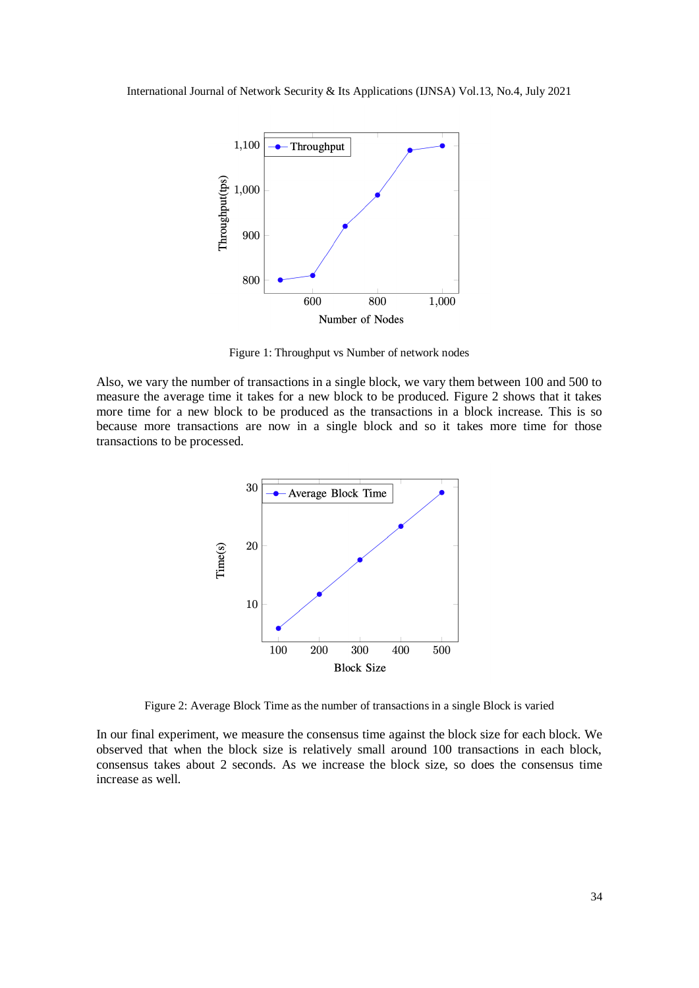

Figure 1: Throughput vs Number of network nodes

Also, we vary the number of transactions in a single block, we vary them between 100 and 500 to measure the average time it takes for a new block to be produced. Figure 2 shows that it takes more time for a new block to be produced as the transactions in a block increase. This is so because more transactions are now in a single block and so it takes more time for those transactions to be processed.



Figure 2: Average Block Time as the number of transactions in a single Block is varied

In our final experiment, we measure the consensus time against the block size for each block. We observed that when the block size is relatively small around 100 transactions in each block, consensus takes about 2 seconds. As we increase the block size, so does the consensus time increase as well.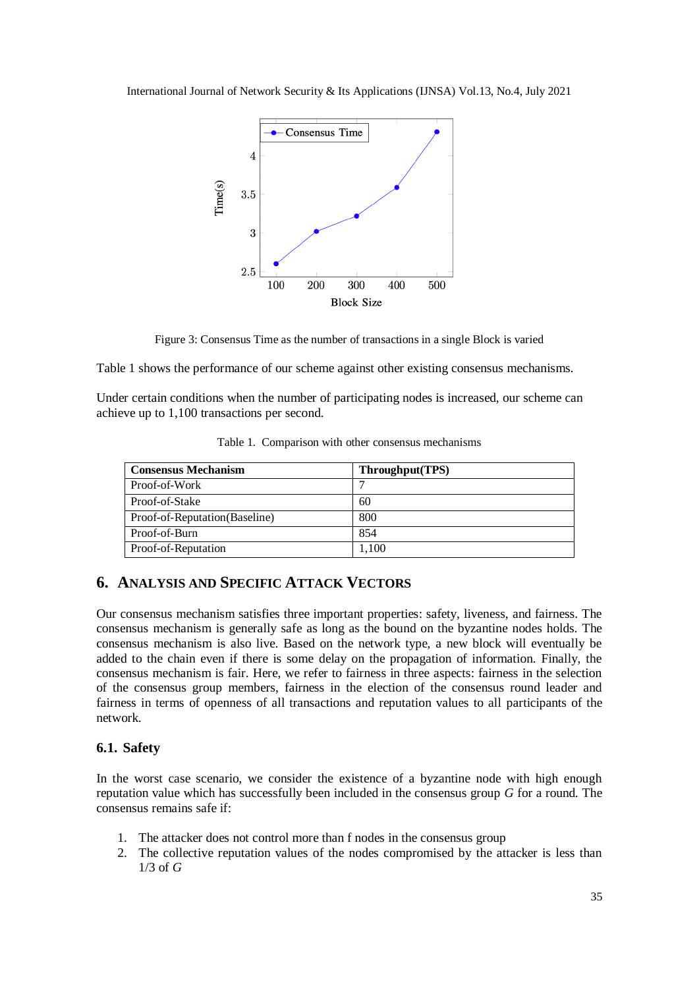

Figure 3: Consensus Time as the number of transactions in a single Block is varied

Table 1 shows the performance of our scheme against other existing consensus mechanisms.

Under certain conditions when the number of participating nodes is increased, our scheme can achieve up to 1,100 transactions per second.

| <b>Consensus Mechanism</b>    | Throughput(TPS) |
|-------------------------------|-----------------|
| Proof-of-Work                 |                 |
| Proof-of-Stake                | 60              |
| Proof-of-Reputation(Baseline) | 800             |
| Proof-of-Burn                 | 854             |
| Proof-of-Reputation           | 1.100           |

Table 1. Comparison with other consensus mechanisms

# **6. ANALYSIS AND SPECIFIC ATTACK VECTORS**

Our consensus mechanism satisfies three important properties: safety, liveness, and fairness. The consensus mechanism is generally safe as long as the bound on the byzantine nodes holds. The consensus mechanism is also live. Based on the network type, a new block will eventually be added to the chain even if there is some delay on the propagation of information. Finally, the consensus mechanism is fair. Here, we refer to fairness in three aspects: fairness in the selection of the consensus group members, fairness in the election of the consensus round leader and fairness in terms of openness of all transactions and reputation values to all participants of the network.

# **6.1. Safety**

In the worst case scenario, we consider the existence of a byzantine node with high enough reputation value which has successfully been included in the consensus group *G* for a round. The consensus remains safe if:

- 1. The attacker does not control more than f nodes in the consensus group
- 2. The collective reputation values of the nodes compromised by the attacker is less than 1/3 of *G*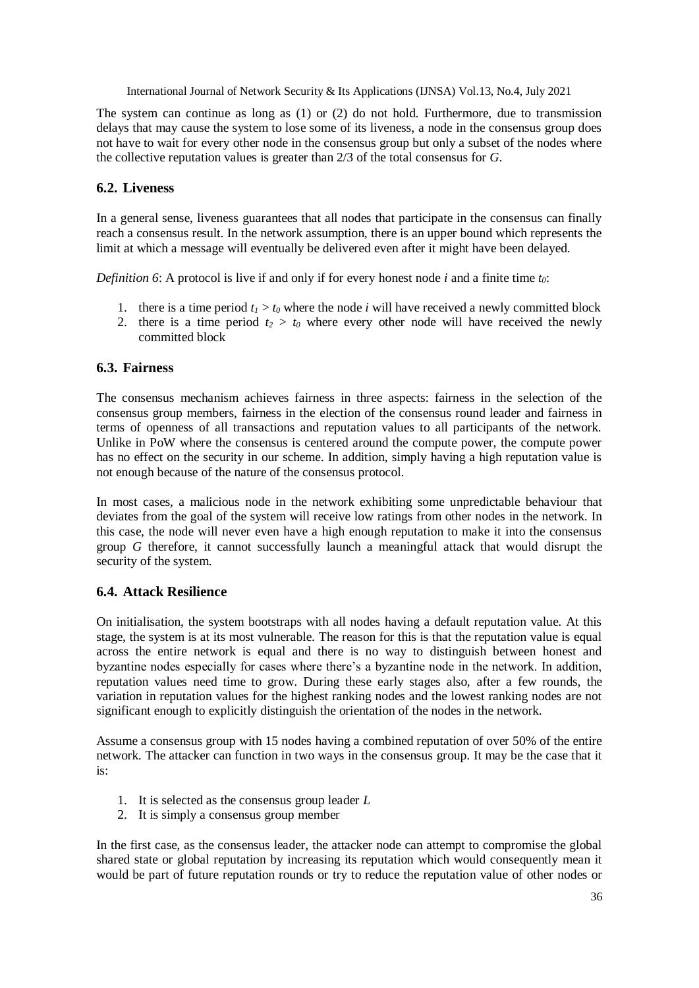The system can continue as long as (1) or (2) do not hold. Furthermore, due to transmission delays that may cause the system to lose some of its liveness, a node in the consensus group does not have to wait for every other node in the consensus group but only a subset of the nodes where the collective reputation values is greater than 2/3 of the total consensus for *G*.

### **6.2. Liveness**

In a general sense, liveness guarantees that all nodes that participate in the consensus can finally reach a consensus result. In the network assumption, there is an upper bound which represents the limit at which a message will eventually be delivered even after it might have been delayed.

*Definition 6*: A protocol is live if and only if for every honest node *i* and a finite time *t0*:

- 1. there is a time period  $t_1 > t_0$  where the node *i* will have received a newly committed block
- 2. there is a time period  $t_2 > t_0$  where every other node will have received the newly committed block

### **6.3. Fairness**

The consensus mechanism achieves fairness in three aspects: fairness in the selection of the consensus group members, fairness in the election of the consensus round leader and fairness in terms of openness of all transactions and reputation values to all participants of the network. Unlike in PoW where the consensus is centered around the compute power, the compute power has no effect on the security in our scheme. In addition, simply having a high reputation value is not enough because of the nature of the consensus protocol.

In most cases, a malicious node in the network exhibiting some unpredictable behaviour that deviates from the goal of the system will receive low ratings from other nodes in the network. In this case, the node will never even have a high enough reputation to make it into the consensus group *G* therefore, it cannot successfully launch a meaningful attack that would disrupt the security of the system.

### **6.4. Attack Resilience**

On initialisation, the system bootstraps with all nodes having a default reputation value. At this stage, the system is at its most vulnerable. The reason for this is that the reputation value is equal across the entire network is equal and there is no way to distinguish between honest and byzantine nodes especially for cases where there's a byzantine node in the network. In addition, reputation values need time to grow. During these early stages also, after a few rounds, the variation in reputation values for the highest ranking nodes and the lowest ranking nodes are not significant enough to explicitly distinguish the orientation of the nodes in the network.

Assume a consensus group with 15 nodes having a combined reputation of over 50% of the entire network. The attacker can function in two ways in the consensus group. It may be the case that it is:

- 1. It is selected as the consensus group leader *L*
- 2. It is simply a consensus group member

In the first case, as the consensus leader, the attacker node can attempt to compromise the global shared state or global reputation by increasing its reputation which would consequently mean it would be part of future reputation rounds or try to reduce the reputation value of other nodes or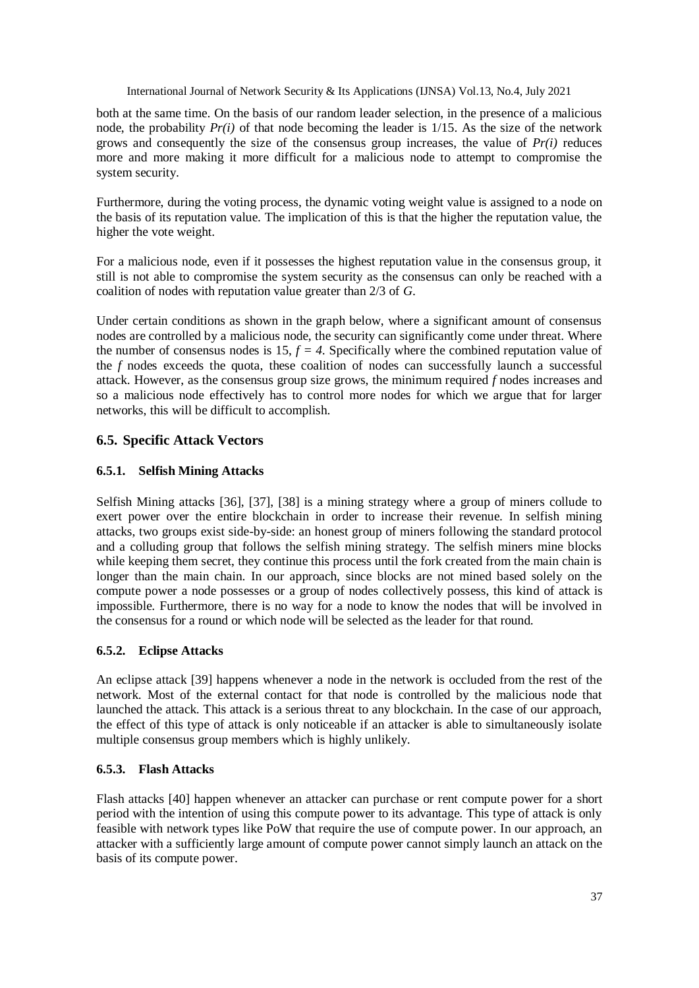both at the same time. On the basis of our random leader selection, in the presence of a malicious node, the probability  $Pr(i)$  of that node becoming the leader is  $1/15$ . As the size of the network grows and consequently the size of the consensus group increases, the value of *Pr(i)* reduces more and more making it more difficult for a malicious node to attempt to compromise the system security.

Furthermore, during the voting process, the dynamic voting weight value is assigned to a node on the basis of its reputation value. The implication of this is that the higher the reputation value, the higher the vote weight.

For a malicious node, even if it possesses the highest reputation value in the consensus group, it still is not able to compromise the system security as the consensus can only be reached with a coalition of nodes with reputation value greater than 2/3 of *G*.

Under certain conditions as shown in the graph below, where a significant amount of consensus nodes are controlled by a malicious node, the security can significantly come under threat. Where the number of consensus nodes is  $15, f = 4$ . Specifically where the combined reputation value of the *f* nodes exceeds the quota, these coalition of nodes can successfully launch a successful attack. However, as the consensus group size grows, the minimum required *f* nodes increases and so a malicious node effectively has to control more nodes for which we argue that for larger networks, this will be difficult to accomplish.

# **6.5. Specific Attack Vectors**

### **6.5.1. Selfish Mining Attacks**

Selfish Mining attacks [36], [37], [38] is a mining strategy where a group of miners collude to exert power over the entire blockchain in order to increase their revenue. In selfish mining attacks, two groups exist side-by-side: an honest group of miners following the standard protocol and a colluding group that follows the selfish mining strategy. The selfish miners mine blocks while keeping them secret, they continue this process until the fork created from the main chain is longer than the main chain. In our approach, since blocks are not mined based solely on the compute power a node possesses or a group of nodes collectively possess, this kind of attack is impossible. Furthermore, there is no way for a node to know the nodes that will be involved in the consensus for a round or which node will be selected as the leader for that round.

# **6.5.2. Eclipse Attacks**

An eclipse attack [39] happens whenever a node in the network is occluded from the rest of the network. Most of the external contact for that node is controlled by the malicious node that launched the attack. This attack is a serious threat to any blockchain. In the case of our approach, the effect of this type of attack is only noticeable if an attacker is able to simultaneously isolate multiple consensus group members which is highly unlikely.

### **6.5.3. Flash Attacks**

Flash attacks [40] happen whenever an attacker can purchase or rent compute power for a short period with the intention of using this compute power to its advantage. This type of attack is only feasible with network types like PoW that require the use of compute power. In our approach, an attacker with a sufficiently large amount of compute power cannot simply launch an attack on the basis of its compute power.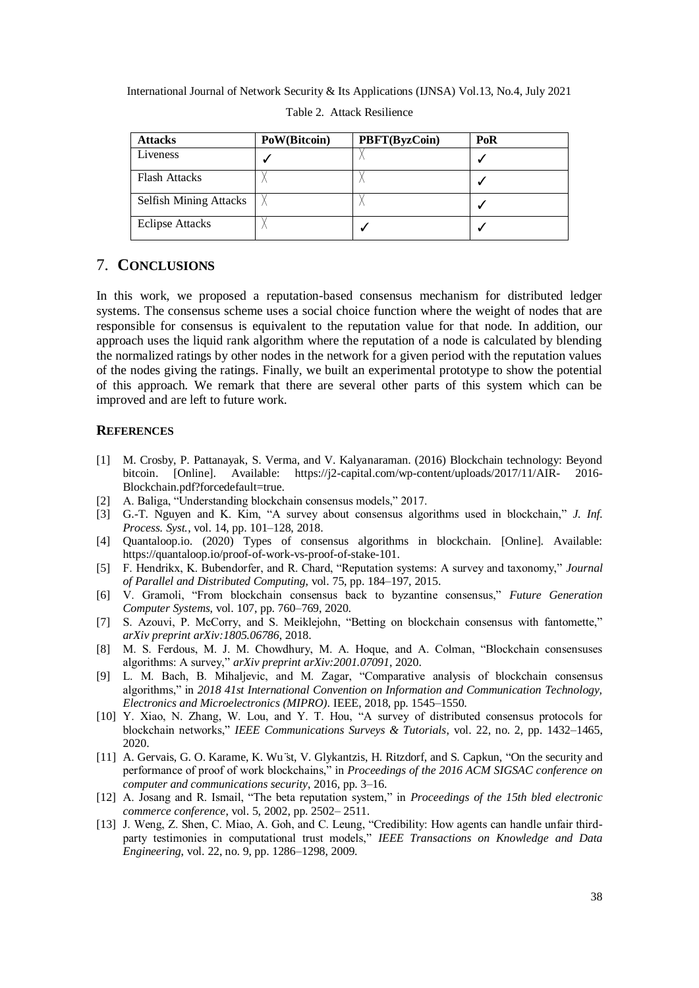| <b>Attacks</b>                | PoW(Bitcoin) | <b>PBFT(ByzCoin)</b> | PoR |
|-------------------------------|--------------|----------------------|-----|
| Liveness                      |              |                      |     |
| <b>Flash Attacks</b>          |              |                      |     |
| <b>Selfish Mining Attacks</b> |              |                      |     |
| <b>Eclipse Attacks</b>        |              |                      |     |

Table 2. Attack Resilience

# 7. **CONCLUSIONS**

In this work, we proposed a reputation-based consensus mechanism for distributed ledger systems. The consensus scheme uses a social choice function where the weight of nodes that are responsible for consensus is equivalent to the reputation value for that node. In addition, our approach uses the liquid rank algorithm where the reputation of a node is calculated by blending the normalized ratings by other nodes in the network for a given period with the reputation values of the nodes giving the ratings. Finally, we built an experimental prototype to show the potential of this approach. We remark that there are several other parts of this system which can be improved and are left to future work.

#### **REFERENCES**

- [1] M. Crosby, P. Pattanayak, S. Verma, and V. Kalyanaraman. (2016) Blockchain technology: Beyond bitcoin. [Online]. Available: https://j2-capital.com/wp-content/uploads/2017/11/AIR- 2016- Blockchain.pdf?forcedefault=true.
- [2] A. Baliga, "Understanding blockchain consensus models," 2017.
- [3] G.-T. Nguyen and K. Kim, "A survey about consensus algorithms used in blockchain," *J. Inf. Process. Syst.*, vol. 14, pp. 101–128, 2018.
- [4] Quantaloop.io. (2020) Types of consensus algorithms in blockchain. [Online]. Available: https://quantaloop.io/proof-of-work-vs-proof-of-stake-101.
- [5] F. Hendrikx, K. Bubendorfer, and R. Chard, "Reputation systems: A survey and taxonomy," *Journal of Parallel and Distributed Computing*, vol. 75, pp. 184–197, 2015.
- [6] V. Gramoli, "From blockchain consensus back to byzantine consensus," *Future Generation Computer Systems*, vol. 107, pp. 760–769, 2020.
- [7] S. Azouvi, P. McCorry, and S. Meiklejohn, "Betting on blockchain consensus with fantomette," *arXiv preprint arXiv:1805.06786*, 2018.
- [8] M. S. Ferdous, M. J. M. Chowdhury, M. A. Hoque, and A. Colman, "Blockchain consensuses algorithms: A survey," *arXiv preprint arXiv:2001.07091*, 2020.
- [9] L. M. Bach, B. Mihaljevic, and M. Zagar, "Comparative analysis of blockchain consensus algorithms," in *2018 41st International Convention on Information and Communication Technology, Electronics and Microelectronics (MIPRO)*. IEEE, 2018, pp. 1545–1550.
- [10] Y. Xiao, N. Zhang, W. Lou, and Y. T. Hou, "A survey of distributed consensus protocols for blockchain networks," *IEEE Communications Surveys & Tutorials*, vol. 22, no. 2, pp. 1432–1465, 2020.
- [11] A. Gervais, G. O. Karame, K. Wu ̈st, V. Glykantzis, H. Ritzdorf, and S. Capkun, "On the security and performance of proof of work blockchains," in *Proceedings of the 2016 ACM SIGSAC conference on computer and communications security*, 2016, pp. 3–16.
- [12] A. Josang and R. Ismail, "The beta reputation system," in *Proceedings of the 15th bled electronic commerce conference*, vol. 5, 2002, pp. 2502– 2511.
- [13] J. Weng, Z. Shen, C. Miao, A. Goh, and C. Leung, "Credibility: How agents can handle unfair thirdparty testimonies in computational trust models," *IEEE Transactions on Knowledge and Data Engineering*, vol. 22, no. 9, pp. 1286–1298, 2009.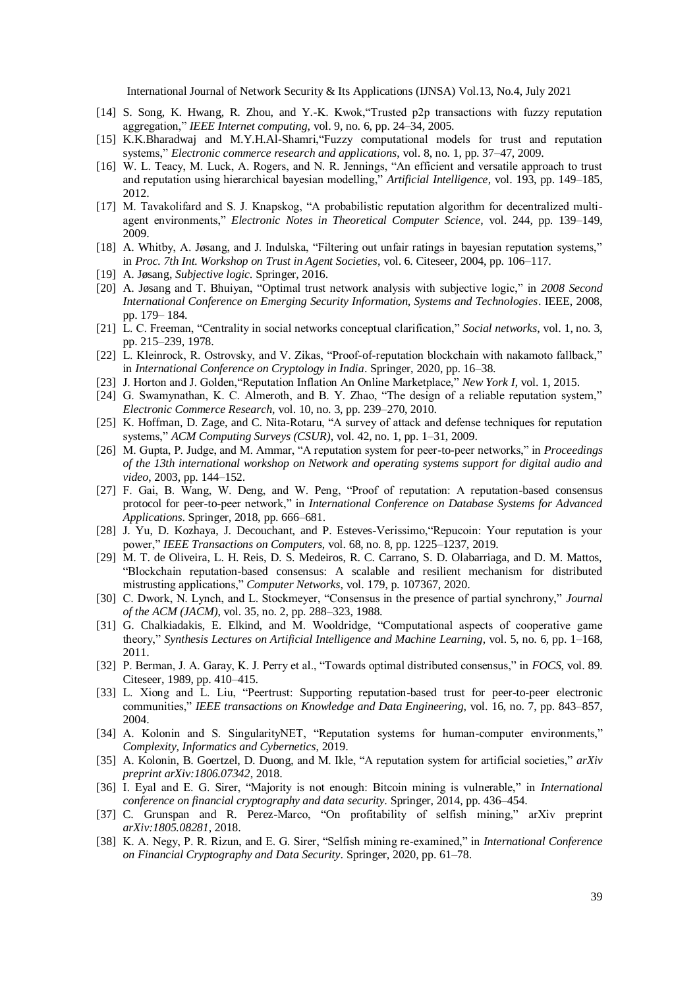- [14] S. Song, K. Hwang, R. Zhou, and Y.-K. Kwok,"Trusted p2p transactions with fuzzy reputation aggregation," *IEEE Internet computing*, vol. 9, no. 6, pp. 24–34, 2005.
- [15] K.K.Bharadwaj and M.Y.H.Al-Shamri,"Fuzzy computational models for trust and reputation systems," *Electronic commerce research and applications*, vol. 8, no. 1, pp. 37–47, 2009.
- [16] W. L. Teacy, M. Luck, A. Rogers, and N. R. Jennings, "An efficient and versatile approach to trust and reputation using hierarchical bayesian modelling," *Artificial Intelligence*, vol. 193, pp. 149–185, 2012.
- [17] M. Tavakolifard and S. J. Knapskog, "A probabilistic reputation algorithm for decentralized multiagent environments," *Electronic Notes in Theoretical Computer Science*, vol. 244, pp. 139–149, 2009.
- [18] A. Whitby, A. Jøsang, and J. Indulska, "Filtering out unfair ratings in bayesian reputation systems," in *Proc. 7th Int. Workshop on Trust in Agent Societies*, vol. 6. Citeseer, 2004, pp. 106–117.
- [19] A. Jøsang, *Subjective logic*. Springer, 2016.
- [20] A. Jøsang and T. Bhuiyan, "Optimal trust network analysis with subjective logic," in *2008 Second International Conference on Emerging Security Information, Systems and Technologies*. IEEE, 2008, pp. 179– 184.
- [21] L. C. Freeman, "Centrality in social networks conceptual clarification," *Social networks*, vol. 1, no. 3, pp. 215–239, 1978.
- [22] L. Kleinrock, R. Ostrovsky, and V. Zikas, "Proof-of-reputation blockchain with nakamoto fallback," in *International Conference on Cryptology in India*. Springer, 2020, pp. 16–38.
- [23] J. Horton and J. Golden,"Reputation Inflation An Online Marketplace," *New York I*, vol. 1, 2015.
- [24] G. Swamynathan, K. C. Almeroth, and B. Y. Zhao, "The design of a reliable reputation system," *Electronic Commerce Research*, vol. 10, no. 3, pp. 239–270, 2010.
- [25] K. Hoffman, D. Zage, and C. Nita-Rotaru, "A survey of attack and defense techniques for reputation systems," *ACM Computing Surveys (CSUR)*, vol. 42, no. 1, pp. 1–31, 2009.
- [26] M. Gupta, P. Judge, and M. Ammar, "A reputation system for peer-to-peer networks," in *Proceedings of the 13th international workshop on Network and operating systems support for digital audio and video*, 2003, pp. 144–152.
- [27] F. Gai, B. Wang, W. Deng, and W. Peng, "Proof of reputation: A reputation-based consensus protocol for peer-to-peer network," in *International Conference on Database Systems for Advanced Applications*. Springer, 2018, pp. 666–681.
- [28] J. Yu, D. Kozhaya, J. Decouchant, and P. Esteves-Verissimo,"Repucoin: Your reputation is your power," *IEEE Transactions on Computers*, vol. 68, no. 8, pp. 1225–1237, 2019.
- [29] M. T. de Oliveira, L. H. Reis, D. S. Medeiros, R. C. Carrano, S. D. Olabarriaga, and D. M. Mattos, "Blockchain reputation-based consensus: A scalable and resilient mechanism for distributed mistrusting applications," *Computer Networks*, vol. 179, p. 107367, 2020.
- [30] C. Dwork, N. Lynch, and L. Stockmeyer, "Consensus in the presence of partial synchrony," *Journal of the ACM (JACM)*, vol. 35, no. 2, pp. 288–323, 1988.
- [31] G. Chalkiadakis, E. Elkind, and M. Wooldridge, "Computational aspects of cooperative game theory," *Synthesis Lectures on Artificial Intelligence and Machine Learning*, vol. 5, no. 6, pp. 1–168, 2011.
- [32] P. Berman, J. A. Garay, K. J. Perry et al., "Towards optimal distributed consensus," in *FOCS*, vol. 89. Citeseer, 1989, pp. 410–415.
- [33] L. Xiong and L. Liu, "Peertrust: Supporting reputation-based trust for peer-to-peer electronic communities," *IEEE transactions on Knowledge and Data Engineering*, vol. 16, no. 7, pp. 843–857, 2004.
- [34] A. Kolonin and S. SingularityNET, "Reputation systems for human-computer environments," *Complexity, Informatics and Cybernetics*, 2019.
- [35] A. Kolonin, B. Goertzel, D. Duong, and M. Ikle, "A reputation system for artificial societies," *arXiv preprint arXiv:1806.07342*, 2018.
- [36] I. Eyal and E. G. Sirer, "Majority is not enough: Bitcoin mining is vulnerable," in *International conference on financial cryptography and data security*. Springer, 2014, pp. 436–454.
- [37] C. Grunspan and R. Perez-Marco, "On profitability of selfish mining," arXiv preprint *arXiv:1805.08281*, 2018.
- [38] K. A. Negy, P. R. Rizun, and E. G. Sirer, "Selfish mining re-examined," in *International Conference on Financial Cryptography and Data Security*. Springer, 2020, pp. 61–78.